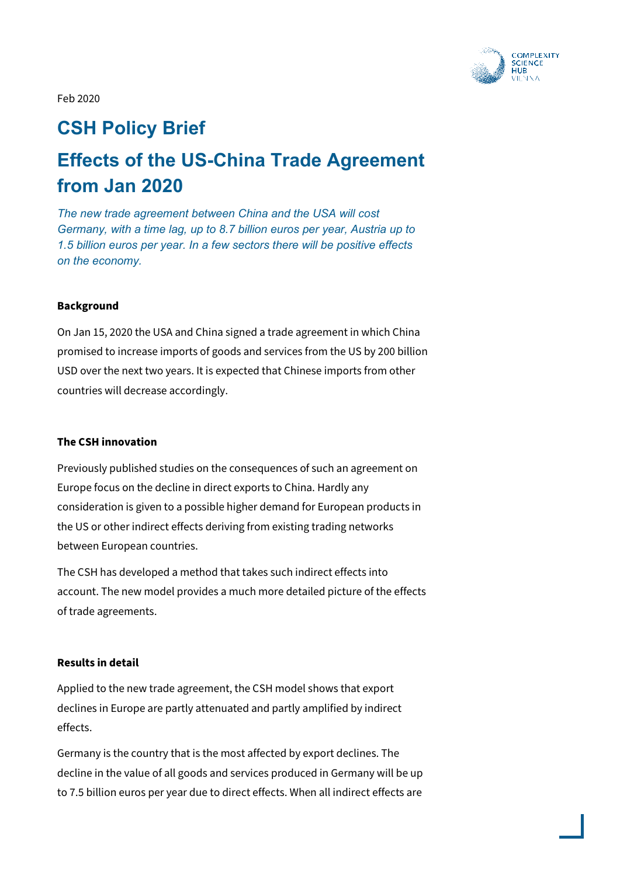

Feb 2020

## **CSH Policy Brief**

# **Effects of the US-China Trade Agreement from Jan 2020**

*The new trade agreement between China and the USA will cost Germany, with a time lag, up to 8.7 billion euros per year, Austria up to 1.5 billion euros per year. In a few sectors there will be positive effects on the economy.* 

#### **Background**

On Jan 15, 2020 the USA and China signed a trade agreement in which China promised to increase imports of goods and services from the US by 200 billion USD over the next two years. It is expected that Chinese imports from other countries will decrease accordingly.

#### **The CSH innovation**

Previously published studies on the consequences of such an agreement on Europe focus on the decline in direct exports to China. Hardly any consideration is given to a possible higher demand for European products in the US or other indirect effects deriving from existing trading networks between European countries.

The CSH has developed a method that takes such indirect effects into account. The new model provides a much more detailed picture of the effects of trade agreements.

#### **Results in detail**

Applied to the new trade agreement, the CSH model shows that export declines in Europe are partly attenuated and partly amplified by indirect effects.

Germany is the country that is the most affected by export declines. The decline in the value of all goods and services produced in Germany will be up to 7.5 billion euros per year due to direct effects. When all indirect effects are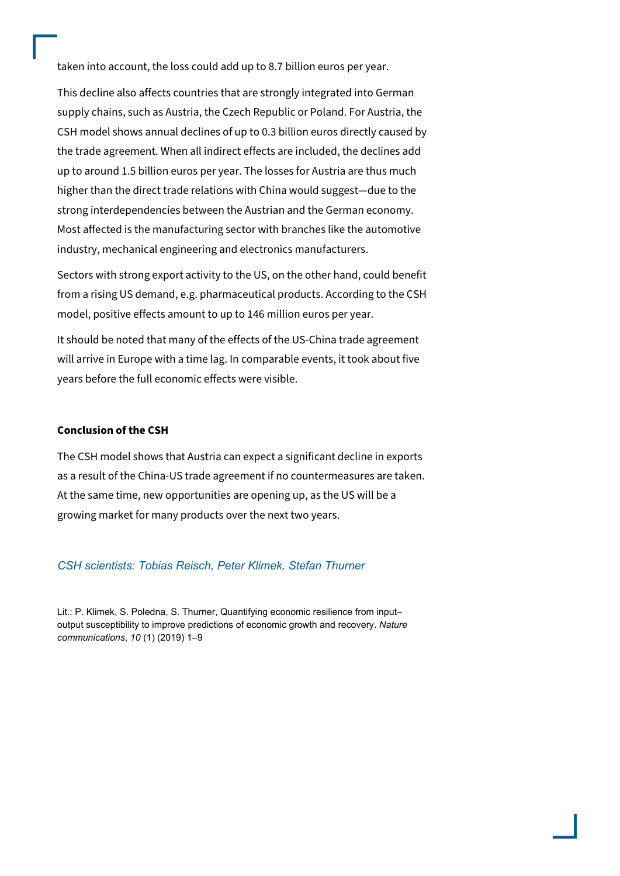taken into account, the loss could add up to 8.7 billion euros per year.

This decline also affects countries that are strongly integrated into German supply chains, such as Austria, the Czech Republic or Poland. For Austria, the CSH model shows annual declines of up to 0.3 billion euros directly caused by the trade agreement. When all indirect effects are included, the declines add up to around 1.5 billion euros per year. The losses for Austria are thus much higher than the direct trade relations with China would suggest—due to the strong interdependencies between the Austrian and the German economy. Most affected is the manufacturing sector with branches like the automotive industry, mechanical engineering and electronics manufacturers.

Sectors with strong export activity to the US, on the other hand, could benefit from a rising US demand, e.g. pharmaceutical products. According to the CSH model, positive effects amount to up to 146 million euros per year.

It should be noted that many of the effects of the US-China trade agreement will arrive in Europe with a time lag. In comparable events, it took about five years before the full economic effects were visible.

#### **Conclusion of the CSH**

The CSH model shows that Austria can expect a significant decline in exports as a result of the China-US trade agreement if no countermeasures are taken. At the same time, new opportunities are opening up, as the US will be a growing market for many products over the next two years.

#### *CSH scientists: Tobias Reisch, Peter Klimek, Stefan Thurner*

Lit.: P. Klimek, S. Poledna, S. Thurner, Quantifying economic resilience from input– output susceptibility to improve predictions of economic growth and recovery. *Nature communications*, *10* (1) (2019) 1–9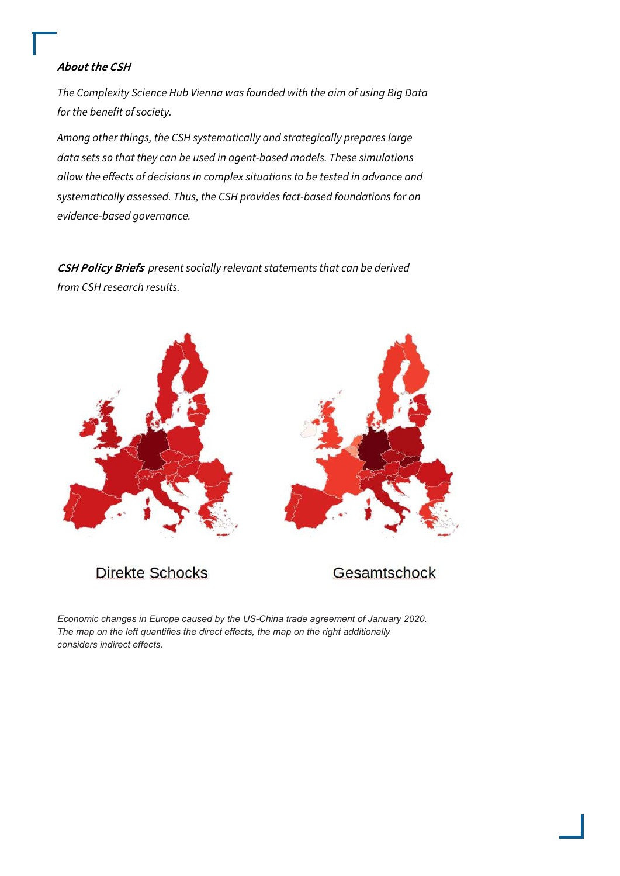### About the CSH

The Complexity Science Hub Vienna was founded with the aim of using Big Data for the benefit of society.

Among other things, the CSH systematically and strategically prepares large data sets so that they can be used in agent-based models. These simulations allow the effects of decisions in complex situations to be tested in advance and systematically assessed. Thus, the CSH provides fact-based foundations for an evidence-based governance.

CSH Policy Briefs present socially relevant statements that can be derived from CSH research results.



**Direkte Schocks** 

Gesamtschock

*Economic changes in Europe caused by the US-China trade agreement of January 2020. The map on the left quantifies the direct effects, the map on the right additionally considers indirect effects.*